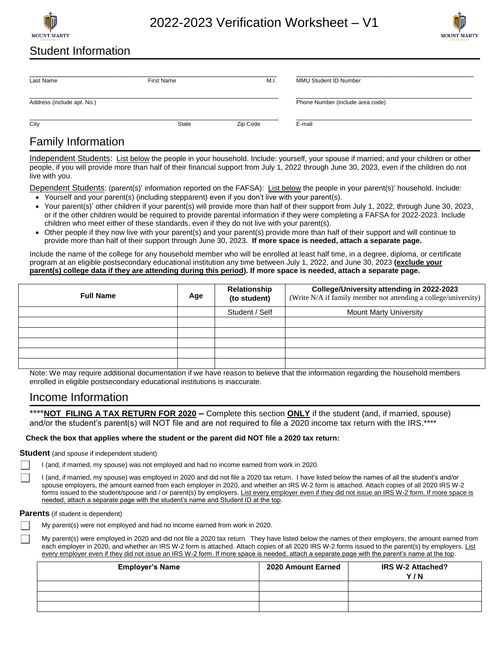

2022-2023 Verification Worksheet – V1



## Student Information

| Last Name                  | First Name | M.I.     | MMU Student ID Number            |  |
|----------------------------|------------|----------|----------------------------------|--|
| Address (include apt. No.) |            |          | Phone Number (include area code) |  |
| City                       | State      | Zip Code | E-mail                           |  |

# Family Information

Independent Students:List below the people in your household. Include: yourself, your spouse if married; and your children or other people, if you will provide more than half of their financial support from July 1, 2022 through June 30, 2023, even if the children do not live with you.

Dependent Students: (parent(s)' information reported on the FAFSA): List below the people in your parent(s)' household. Include:

- Yourself and your parent(s) (including stepparent) even if you don't live with your parent(s).
- Your parent(s)' other children if your parent(s) will provide more than half of their support from July 1, 2022, through June 30, 2023, or if the other children would be required to provide parental information if they were completing a FAFSA for 2022-2023. Include children who meet either of these standards, even if they do not live with your parent(s).
- Other people if they now live with your parent(s) and your parent(s) provide more than half of their support and will continue to provide more than half of their support through June 30, 2023. **If more space is needed, attach a separate page.**

Include the name of the college for any household member who will be enrolled at least half time, in a degree, diploma, or certificate program at an eligible postsecondary educational institution any time between July 1, 2022, and June 30, 2023 **(exclude your parent(s) college data if they are attending during this period). If more space is needed, attach a separate page.**

| <b>Full Name</b> | Age | College/University attending in 2022-2023<br>Relationship<br>(Write N/A if family member not attending a college/university)<br>(to student) |                               |
|------------------|-----|----------------------------------------------------------------------------------------------------------------------------------------------|-------------------------------|
|                  |     | Student / Self                                                                                                                               | <b>Mount Marty University</b> |
|                  |     |                                                                                                                                              |                               |
|                  |     |                                                                                                                                              |                               |
|                  |     |                                                                                                                                              |                               |
|                  |     |                                                                                                                                              |                               |
|                  |     |                                                                                                                                              |                               |

Note: We may require additional documentation if we have reason to believe that the information regarding the household members enrolled in eligible postsecondary educational institutions is inaccurate.

## Income Information

\*\*\*\***NOT FILING A TAX RETURN FOR 2020 –** Complete this section **ONLY** if the student (and, if married, spouse) and/or the student's parent(s) will NOT file and are not required to file a 2020 income tax return with the IRS.\*\*\*\*

### **Check the box that applies where the student or the parent did NOT file a 2020 tax return:**

#### **Student** (and spouse if independent student)

I (and, if married, my spouse) was not employed and had no income earned from work in 2020.

I (and, if married, my spouse) was employed in 2020 and did not file a 2020 tax return. I have listed below the names of all the student's and/or spouse employers, the amount earned from each employer in 2020, and whether an IRS W-2 form is attached. Attach copies of all 2020 IRS W-2 forms issued to the student/spouse and / or parent(s) by employers. List every employer even if they did not issue an IRS W-2 form. If more space is needed, attach a separate page with the student's name and Student ID at the top.

#### **Parents** (if student is dependent)

My parent(s) were not employed and had no income earned from work in 2020.

My parent(s) were employed in 2020 and did not file a 2020 tax return. They have listed below the names of their employers, the amount earned from each employer in 2020, and whether an IRS W-2 form is attached. Attach copies of all 2020 IRS W-2 forms issued to the parent(s) by employers. List every employer even if they did not issue an IRS W-2 form. If more space is needed, attach a separate page with the parent's name at the top.

| <b>Employer's Name</b> | 2020 Amount Earned | IRS W-2 Attached?<br>Y/N |
|------------------------|--------------------|--------------------------|
|                        |                    |                          |
|                        |                    |                          |
|                        |                    |                          |